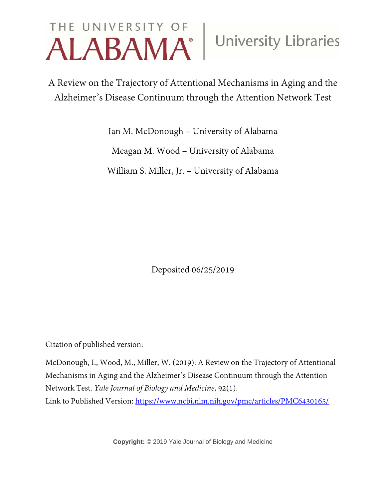# THE UNIVERSITY OF University Libraries

A Review on the Trajectory of Attentional Mechanisms in Aging and the Alzheimer's Disease Continuum through the Attention Network Test

> Ian M. McDonough – University of Alabama Meagan M. Wood – University of Alabama William S. Miller, Jr. – University of Alabama

> > Deposited 06/25/2019

Citation of published version:

McDonough, I., Wood, M., Miller, W. (2019): A Review on the Trajectory of Attentional Mechanisms in Aging and the Alzheimer's Disease Continuum through the Attention Network Test. *Yale Journal of Biology and Medicine*, 92(1).

Link to Published Version:<https://www.ncbi.nlm.nih.gov/pmc/articles/PMC6430165/>

**Copyright:** © 2019 Yale Journal of Biology and Medicine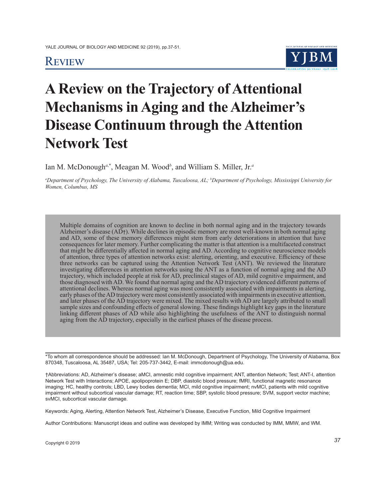### **REVIEW**



## **A Review on the Trajectory of Attentional Mechanisms in Aging and the Alzheimer's Disease Continuum through the Attention Network Test**

Ian M. McDonough*<sup>a</sup>*,\*, Meagan M. Wood*<sup>b</sup>* , and William S. Miller, Jr.*<sup>a</sup>*

*a Department of Psychology, The University of Alabama, Tuscaloosa, AL; b Department of Psychology, Mississippi University for Women, Columbus, MS*

Multiple domains of cognition are known to decline in both normal aging and in the trajectory towards Alzheimer's disease (AD†). While declines in episodic memory are most well-known in both normal aging and AD, some of these memory differences might stem from early deteriorations in attention that have consequences for later memory. Further complicating the matter is that attention is a multifaceted construct that might be differentially affected in normal aging and AD. According to cognitive neuroscience models of attention, three types of attention networks exist: alerting, orienting, and executive. Efficiency of these three networks can be captured using the Attention Network Test (ANT). We reviewed the literature investigating differences in attention networks using the ANT as a function of normal aging and the AD trajectory, which included people at risk for AD, preclinical stages of AD, mild cognitive impairment, and those diagnosed with AD. We found that normal aging and the AD trajectory evidenced different patterns of attentional declines. Whereas normal aging was most consistently associated with impairments in alerting, early phases of the AD trajectory were most consistently associated with impairments in executive attention, and later phases of the AD trajectory were mixed. The mixed results with AD are largely attributed to small sample sizes and confounding effects of general slowing. These findings highlight key gaps in the literature linking different phases of AD while also highlighting the usefulness of the ANT to distinguish normal aging from the AD trajectory, especially in the earliest phases of the disease process.

\*To whom all correspondence should be addressed: Ian M. McDonough, Department of Psychology, The University of Alabama, Box 870348, Tuscaloosa, AL 35487, USA; Tel: 205-737-3442, E-mail: immcdonough@ua.edu.

†Abbreviations: AD, Alzheimer's disease; aMCI, amnestic mild cognitive impairment; ANT, attention Network; Test; ANT-I, attention Network Test with Interactions; APOE, apolipoprotein E; DBP, diastolic blood pressure; fMRI, functional magnetic resonance imaging; HC, healthy controls; LBD, Lewy bodies dementia; MCI, mild cognitive impairment; nvMCI, patients with mild cognitive impairment without subcortical vascular damage; RT, reaction time; SBP, systolic blood pressure; SVM, support vector machine; svMCI, subcortical vascular damage.

Keywords: Aging, Alerting, Attention Network Test, Alzheimer's Disease, Executive Function, Mild Cognitive Impairment

Author Contributions: Manuscript ideas and outline was developed by IMM; Writing was conducted by IMM, MMW, and WM.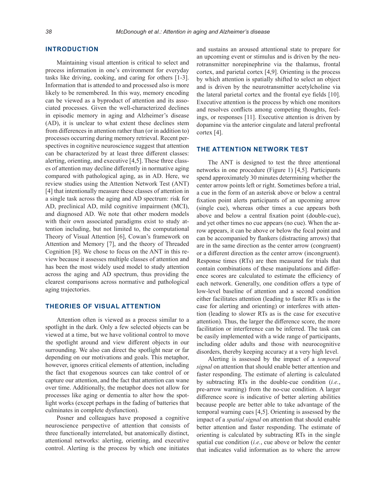#### **INTRODUCTION**

Maintaining visual attention is critical to select and process information in one's environment for everyday tasks like driving, cooking, and caring for others [1-3]. Information that is attended to and processed also is more likely to be remembered. In this way, memory encoding can be viewed as a byproduct of attention and its associated processes. Given the well-characterized declines in episodic memory in aging and Alzheimer's disease (AD), it is unclear to what extent these declines stem from differences in attention rather than (or in addition to) processes occurring during memory retrieval. Recent perspectives in cognitive neuroscience suggest that attention can be characterized by at least three different classes: alerting, orienting, and executive [4,5]. These three classes of attention may decline differently in normative aging compared with pathological aging, as in AD. Here, we review studies using the Attention Network Test (ANT) [4] that intentionally measure these classes of attention in a single task across the aging and AD spectrum: risk for AD, preclinical AD, mild cognitive impairment (MCI), and diagnosed AD. We note that other modern models with their own associated paradigms exist to study attention including, but not limited to, the computational Theory of Visual Attention [6], Cowan's framework on Attention and Memory [7], and the theory of Threaded Cognition [8]. We chose to focus on the ANT in this review because it assesses multiple classes of attention and has been the most widely used model to study attention across the aging and AD spectrum, thus providing the clearest comparisons across normative and pathological aging trajectories.

#### **THEORIES OF VISUAL ATTENTION**

Attention often is viewed as a process similar to a spotlight in the dark. Only a few selected objects can be viewed at a time, but we have volitional control to move the spotlight around and view different objects in our surrounding. We also can direct the spotlight near or far depending on our motivations and goals. This metaphor, however, ignores critical elements of attention, including the fact that exogenous sources can take control of or capture our attention, and the fact that attention can wane over time. Additionally, the metaphor does not allow for processes like aging or dementia to alter how the spotlight works (except perhaps in the fading of batteries that culminates in complete dysfunction).

Posner and colleagues have proposed a cognitive neuroscience perspective of attention that consists of three functionally interrelated, but anatomically distinct, attentional networks: alerting, orienting, and executive control. Alerting is the process by which one initiates

and sustains an aroused attentional state to prepare for an upcoming event or stimulus and is driven by the neurotransmitter norepinephrine via the thalamus, frontal cortex, and parietal cortex [4,9]. Orienting is the process by which attention is spatially shifted to select an object and is driven by the neurotransmitter acetylcholine via the lateral parietal cortex and the frontal eye fields [10]. Executive attention is the process by which one monitors and resolves conflicts among competing thoughts, feelings, or responses [11]. Executive attention is driven by dopamine via the anterior cingulate and lateral prefrontal cortex [4].

#### **THE ATTENTION NETWORK TEST**

The ANT is designed to test the three attentional networks in one procedure (Figure 1) [4,5]. Participants spend approximately 30 minutes determining whether the center arrow points left or right. Sometimes before a trial, a cue in the form of an asterisk above or below a central fixation point alerts participants of an upcoming arrow (single cue), whereas other times a cue appears both above and below a central fixation point (double-cue), and yet other times no cue appears (no cue). When the arrow appears, it can be above or below the focal point and can be accompanied by flankers (distracting arrows) that are in the same direction as the center arrow (congruent) or a different direction as the center arrow (incongruent). Response times (RTs) are then measured for trials that contain combinations of these manipulations and difference scores are calculated to estimate the efficiency of each network. Generally, one condition offers a type of low-level baseline of attention and a second condition either facilitates attention (leading to faster RTs as is the case for alerting and orienting) or interferes with attention (leading to slower RTs as is the case for executive attention). Thus, the larger the difference score, the more facilitation or interference can be inferred. The task can be easily implemented with a wide range of participants, including older adults and those with neurocognitive disorders, thereby keeping accuracy at a very high level.

Alerting is assessed by the impact of a *temporal signal* on attention that should enable better attention and faster responding. The estimate of alerting is calculated by subtracting RTs in the double-cue condition (*i.e.*, pre-arrow warning) from the no-cue condition. A larger difference score is indicative of better alerting abilities because people are better able to take advantage of the temporal warning cues [4,5]. Orienting is assessed by the impact of a *spatial signal* on attention that should enable better attention and faster responding. The estimate of orienting is calculated by subtracting RTs in the single spatial cue condition (*i.e.*, cue above or below the center that indicates valid information as to where the arrow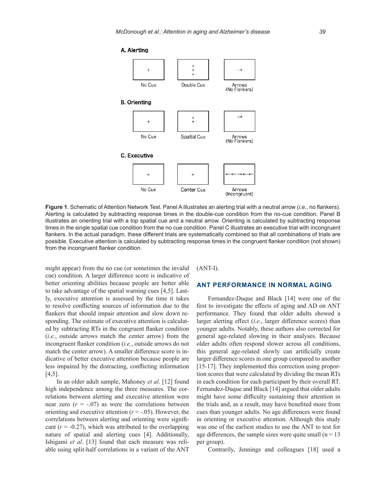

**Figure 1**. Schematic of Attention Network Test. Panel A illustrates an alerting trial with a neutral arrow (*i.e.*, no flankers). Alerting is calculated by subtracting response times in the double-cue condition from the no-cue condition. Panel B illustrates an orienting trial with a top spatial cue and a neutral arrow. Orienting is calculated by subtracting response times in the single spatial cue condition from the no cue condition. Panel C illustrates an executive trial with incongruent flankers. In the actual paradigm, these different trials are systematically combined so that all combinations of trials are possible. Executive attention is calculated by subtracting response times in the congruent flanker condition (not shown) from the incongruent flanker condition.

might appear) from the no cue (or sometimes the invalid cue) condition. A larger difference score is indicative of better orienting abilities because people are better able to take advantage of the spatial warning cues [4,5]. Lastly, executive attention is assessed by the time it takes to resolve conflicting sources of information due to the flankers that should impair attention and slow down responding. The estimate of executive attention is calculated by subtracting RTs in the congruent flanker condition (*i.e.*, outside arrows match the center arrow) from the incongruent flanker condition (*i.e.*, outside arrows do not match the center arrow). A smaller difference score is indicative of better executive attention because people are less impaired by the distracting, conflicting information  $[4,5]$ .

In an older adult sample, Mahoney *et al*. [12] found high independence among the three measures. The correlations between alerting and executive attention were near zero  $(r = -.07)$  as were the correlations between orienting and executive attention  $(r = -.05)$ . However, the correlations between alerting and orienting were significant  $(r = -0.27)$ , which was attributed to the overlapping nature of spatial and alerting cues [4]. Additionally, Ishigami *et al*. [13] found that each measure was reliable using split-half correlations in a variant of the ANT (ANT-I).

#### **ANT PERFORMANCE IN NORMAL AGING**

Fernandez-Duque and Black [14] were one of the first to investigate the effects of aging and AD on ANT performance. They found that older adults showed a larger alerting effect (*i.e.*, larger difference scores) than younger adults. Notably, these authors also corrected for general age-related slowing in their analyses. Because older adults often respond slower across all conditions, this general age-related slowly can artificially create larger difference scores in one group compared to another [15-17]. They implemented this correction using proportion scores that were calculated by dividing the mean RTs in each condition for each participant by their overall RT. Fernandez-Duque and Black [14] argued that older adults might have some difficulty sustaining their attention in the trials and, as a result, may have benefited more from cues than younger adults. No age differences were found in orienting or executive attention. Although this study was one of the earliest studies to use the ANT to test for age differences, the sample sizes were quite small  $(n = 13)$ per group).

Contrarily, Jennings and colleagues [18] used a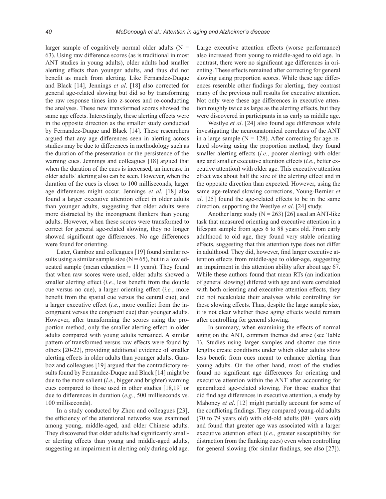larger sample of cognitively normal older adults  $(N =$ 63). Using raw difference scores (as is traditional in most ANT studies in young adults), older adults had smaller alerting effects than younger adults, and thus did not benefit as much from alerting. Like Fernandez-Duque and Black [14], Jennings *et al*. [18] also corrected for general age-related slowing but did so by transforming the raw response times into z-scores and re-conducting the analyses. These new transformed scores showed the same age effects. Interestingly, these alerting effects were in the opposite direction as the smaller study conducted by Fernandez-Duque and Black [14]. These researchers argued that any age differences seen in alerting across studies may be due to differences in methodology such as the duration of the presentation or the persistence of the warning cues. Jennings and colleagues [18] argued that when the duration of the cues is increased, an increase in older adults' alerting also can be seen. However, when the duration of the cues is closer to 100 milliseconds, larger age differences might occur. Jennings *et al*. [18] also found a larger executive attention effect in older adults than younger adults, suggesting that older adults were more distracted by the incongruent flankers than young adults. However, when these scores were transformed to correct for general age-related slowing, they no longer showed significant age differences. No age differences were found for orienting.

Later, Gamboz and colleagues [19] found similar results using a similar sample size  $(N = 65)$ , but in a low educated sample (mean education  $= 11$  years). They found that when raw scores were used, older adults showed a smaller alerting effect (*i.e.*, less benefit from the double cue versus no cue), a larger orienting effect (*i.e.*, more benefit from the spatial cue versus the central cue), and a larger executive effect (*i.e.*, more conflict from the incongruent versus the congruent cue) than younger adults. However, after transforming the scores using the proportion method, only the smaller alerting effect in older adults compared with young adults remained. A similar pattern of transformed versus raw effects were found by others [20-22], providing additional evidence of smaller alerting effects in older adults than younger adults. Gamboz and colleagues [19] argued that the contradictory results found by Fernandez-Duque and Black [14] might be due to the more salient (*i.e.*, bigger and brighter) warning cues compared to those used in other studies [18,19] or due to differences in duration (*e.g.*, 500 milliseconds vs. 100 milliseconds).

In a study conducted by Zhou and colleagues [23], the efficiency of the attentional networks was examined among young, middle-aged, and older Chinese adults. They discovered that older adults had significantly smaller alerting effects than young and middle-aged adults, suggesting an impairment in alerting only during old age. Large executive attention effects (worse performance) also increased from young to middle-aged to old age. In contrast, there were no significant age differences in orienting. These effects remained after correcting for general slowing using proportion scores. While these age differences resemble other findings for alerting, they contrast many of the previous null results for executive attention. Not only were these age differences in executive attention roughly twice as large as the alerting effects, but they were discovered in participants in as early as middle age.

Westlye *et al*. [24] also found age differences while investigating the neuroanatomical correlates of the ANT in a large sample ( $N = 128$ ). After correcting for age-related slowing using the proportion method, they found smaller alerting effects (*i.e.*, poorer alerting) with older age and smaller executive attention effects (*i.e.*, better executive attention) with older age. This executive attention effect was about half the size of the alerting effect and in the opposite direction than expected. However, using the same age-related slowing corrections, Young-Bernier *et al*. [25] found the age-related effects to be in the same direction, supporting the Westlye *et al*. [24] study.

Another large study ( $N = 263$ ) [26] used an ANT-like task that measured orienting and executive attention in a lifespan sample from ages 6 to 88 years old. From early adulthood to old age, they found very stable orienting effects, suggesting that this attention type does not differ in adulthood. They did, however, find larger executive attention effects from middle-age to older-age, suggesting an impairment in this attention ability after about age 67. While these authors found that mean RTs (an indication of general slowing) differed with age and were correlated with both orienting and executive attention effects, they did not recalculate their analyses while controlling for these slowing effects. Thus, despite the large sample size, it is not clear whether these aging effects would remain after controlling for general slowing.

In summary, when examining the effects of normal aging on the ANT, common themes did arise (see Table 1). Studies using larger samples and shorter cue time lengths create conditions under which older adults show less benefit from cues meant to enhance alerting than young adults. On the other hand, most of the studies found no significant age differences for orienting and executive attention within the ANT after accounting for generalized age-related slowing. For those studies that did find age differences in executive attention, a study by Mahoney *et al*. [12] might partially account for some of the conflicting findings. They compared young-old adults (70 to 79 years old) with old-old adults (80+ years old) and found that greater age was associated with a larger executive attention effect (*i.e.*, greater susceptibility for distraction from the flanking cues) even when controlling for general slowing (for similar findings, see also [27]).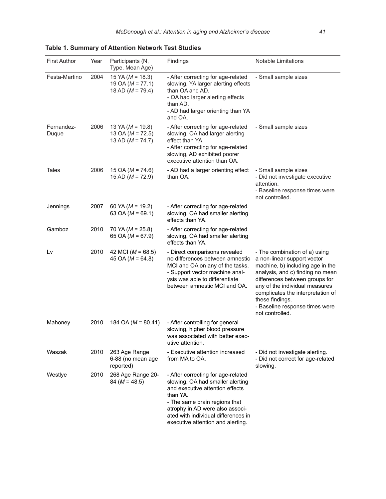| <b>First Author</b> | Year | Participants (N,<br>Type, Mean Age)                                  | Findings                                                                                                                                                                                                                                                              | <b>Notable Limitations</b>                                                                                                                                                                                                                                                                                            |
|---------------------|------|----------------------------------------------------------------------|-----------------------------------------------------------------------------------------------------------------------------------------------------------------------------------------------------------------------------------------------------------------------|-----------------------------------------------------------------------------------------------------------------------------------------------------------------------------------------------------------------------------------------------------------------------------------------------------------------------|
| Festa-Martino       | 2004 | 15 YA ( $M = 18.3$ )<br>19 OA ( $M = 77.1$ )<br>18 AD ( $M = 79.4$ ) | - After correcting for age-related<br>slowing, YA larger alerting effects<br>than OA and AD.<br>- OA had larger alerting effects<br>than AD.<br>- AD had larger orienting than YA<br>and OA.                                                                          | - Small sample sizes                                                                                                                                                                                                                                                                                                  |
| Fernandez-<br>Duque | 2006 | 13 YA ( $M = 19.8$ )<br>13 OA ( $M = 72.5$ )<br>13 AD ( $M = 74.7$ ) | - After correcting for age-related<br>slowing, OA had larger alerting<br>effect than YA.<br>- After correcting for age-related<br>slowing, AD exhibited poorer<br>executive attention than OA.                                                                        | - Small sample sizes                                                                                                                                                                                                                                                                                                  |
| Tales               | 2006 | 15 OA ( $M = 74.6$ )<br>15 AD ( $M = 72.9$ )                         | - AD had a larger orienting effect<br>than OA.                                                                                                                                                                                                                        | - Small sample sizes<br>- Did not investigate executive<br>attention.<br>- Baseline response times were<br>not controlled.                                                                                                                                                                                            |
| Jennings            | 2007 | 60 YA ( $M = 19.2$ )<br>63 OA ( $M = 69.1$ )                         | - After correcting for age-related<br>slowing, OA had smaller alerting<br>effects than YA.                                                                                                                                                                            |                                                                                                                                                                                                                                                                                                                       |
| Gamboz              | 2010 | 70 YA ( $M = 25.8$ )<br>65 OA ( $M = 67.9$ )                         | - After correcting for age-related<br>slowing, OA had smaller alerting<br>effects than YA.                                                                                                                                                                            |                                                                                                                                                                                                                                                                                                                       |
| Lv                  | 2010 | 42 MCI ( $M = 68.5$ )<br>45 OA ( $M = 64.8$ )                        | - Direct comparisons revealed<br>no differences between amnestic<br>MCI and OA on any of the tasks.<br>- Support vector machine anal-<br>ysis was able to differentiate<br>between amnestic MCI and OA.                                                               | - The combination of a) using<br>a non-linear support vector<br>machine, b) including age in the<br>analysis, and c) finding no mean<br>differences between groups for<br>any of the individual measures<br>complicates the interpretation of<br>these findings.<br>- Baseline response times were<br>not controlled. |
| Mahoney             | 2010 | 184 OA ( $M = 80.41$ )                                               | - After controlling for general<br>slowing, higher blood pressure<br>was associated with better exec-<br>utive attention.                                                                                                                                             |                                                                                                                                                                                                                                                                                                                       |
| Waszak              | 2010 | 263 Age Range<br>6-88 (no mean age<br>reported)                      | - Executive attention increased<br>from MA to OA.                                                                                                                                                                                                                     | - Did not investigate alerting.<br>- Did not correct for age-related<br>slowing.                                                                                                                                                                                                                                      |
| Westlye             | 2010 | 268 Age Range 20-<br>$84 (M = 48.5)$                                 | - After correcting for age-related<br>slowing, OA had smaller alerting<br>and executive attention effects<br>than YA.<br>- The same brain regions that<br>atrophy in AD were also associ-<br>ated with individual differences in<br>executive attention and alerting. |                                                                                                                                                                                                                                                                                                                       |

**Table 1. Summary of Attention Network Test Studies**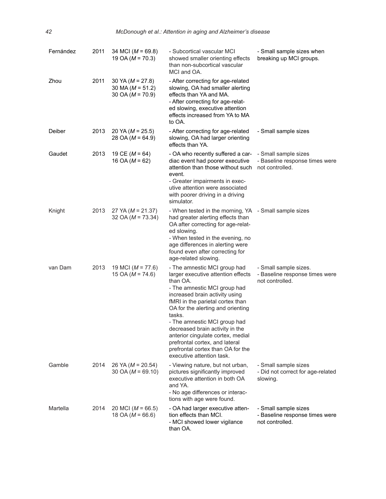| Fernández | 2011 | 34 MCI ( $M = 69.8$ )<br>19 OA ( $M = 70.3$ )                        | - Subcortical vascular MCI<br>showed smaller orienting effects<br>than non-subcortical vascular<br>MCI and OA.                                                                                                                                                                                                                                                                                                                                  | - Small sample sizes when<br>breaking up MCI groups.                       |
|-----------|------|----------------------------------------------------------------------|-------------------------------------------------------------------------------------------------------------------------------------------------------------------------------------------------------------------------------------------------------------------------------------------------------------------------------------------------------------------------------------------------------------------------------------------------|----------------------------------------------------------------------------|
| Zhou      | 2011 | 30 YA ( $M = 27.8$ )<br>30 MA ( $M = 51.2$ )<br>30 OA ( $M = 70.9$ ) | - After correcting for age-related<br>slowing, OA had smaller alerting<br>effects than YA and MA.<br>- After correcting for age-relat-<br>ed slowing, executive attention<br>effects increased from YA to MA<br>to OA.                                                                                                                                                                                                                          |                                                                            |
| Deiber    | 2013 | 20 YA ( $M = 25.5$ )<br>28 OA ( $M = 64.9$ )                         | - After correcting for age-related<br>slowing, OA had larger orienting<br>effects than YA.                                                                                                                                                                                                                                                                                                                                                      | - Small sample sizes                                                       |
| Gaudet    | 2013 | 19 CE ( $M = 64$ )<br>16 OA ( $M = 62$ )                             | - OA who recently suffered a car-<br>diac event had poorer executive<br>attention than those without such<br>event.<br>- Greater impairments in exec-<br>utive attention were associated<br>with poorer driving in a driving<br>simulator.                                                                                                                                                                                                      | - Small sample sizes<br>- Baseline response times were<br>not controlled.  |
| Knight    | 2013 | 27 YA ( $M = 21.37$ )<br>32 OA ( $M = 73.34$ )                       | - When tested in the morning, YA - Small sample sizes<br>had greater alerting effects than<br>OA after correcting for age-relat-<br>ed slowing.<br>- When tested in the evening, no<br>age differences in alerting were<br>found even after correcting for<br>age-related slowing.                                                                                                                                                              |                                                                            |
| van Dam   | 2013 | 19 MCI ( $M = 77.6$ )<br>15 OA ( $M = 74.6$ )                        | - The amnestic MCI group had<br>larger executive attention effects<br>than OA.<br>- The amnestic MCI group had<br>increased brain activity using<br>fMRI in the parietal cortex than<br>OA for the alerting and orienting<br>tasks.<br>- The amnestic MCI group had<br>decreased brain activity in the<br>anterior cingulate cortex, medial<br>prefrontal cortex, and lateral<br>prefrontal cortex than OA for the<br>executive attention task. | - Small sample sizes.<br>- Baseline response times were<br>not controlled. |
| Gamble    | 2014 | 26 YA ( $M = 20.54$ )<br>30 OA ( $M = 69.10$ )                       | - Viewing nature, but not urban,<br>pictures significantly improved<br>executive attention in both OA<br>and YA.<br>- No age differences or interac-<br>tions with age were found.                                                                                                                                                                                                                                                              | - Small sample sizes<br>- Did not correct for age-related<br>slowing.      |
| Martella  | 2014 | 20 MCI ( $M = 66.5$ )<br>18 OA ( $M = 66.6$ )                        | - OA had larger executive atten-<br>tion effects than MCI.<br>- MCI showed lower vigilance<br>than OA.                                                                                                                                                                                                                                                                                                                                          | - Small sample sizes<br>- Baseline response times were<br>not controlled.  |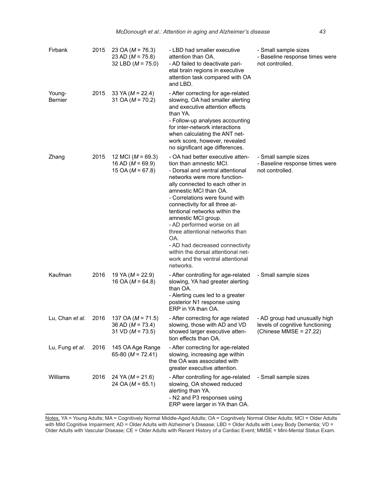| Firbank                  | 2015 | 23 OA ( $M = 76.3$ )<br>23 AD ( $M = 75.8$ )<br>32 LBD ( $M = 75.0$ ) | - LBD had smaller executive<br>attention than OA.<br>- AD failed to deactivate pari-<br>etal brain regions in executive<br>attention task compared with OA<br>and LBD.                                                                                                                                                                                                                                                                                                                                                     | - Small sample sizes<br>- Baseline response times were<br>not controlled.                  |
|--------------------------|------|-----------------------------------------------------------------------|----------------------------------------------------------------------------------------------------------------------------------------------------------------------------------------------------------------------------------------------------------------------------------------------------------------------------------------------------------------------------------------------------------------------------------------------------------------------------------------------------------------------------|--------------------------------------------------------------------------------------------|
| Young-<br><b>Bernier</b> | 2015 | 33 YA ( $M = 22.4$ )<br>31 OA ( $M = 70.2$ )                          | - After correcting for age-related<br>slowing, OA had smaller alerting<br>and executive attention effects<br>than YA.<br>- Follow-up analyses accounting<br>for inter-network interactions<br>when calculating the ANT net-<br>work score, however, revealed<br>no significant age differences.                                                                                                                                                                                                                            |                                                                                            |
| Zhang                    | 2015 | 12 MCI ( $M = 69.3$ )<br>16 AD ( $M = 69.9$ )<br>15 OA ( $M = 67.8$ ) | - OA had better executive atten-<br>tion than amnestic MCI.<br>- Dorsal and ventral attentional<br>networks were more function-<br>ally connected to each other in<br>amnestic MCI than OA.<br>- Correlations were found with<br>connectivity for all three at-<br>tentional networks within the<br>amnestic MCI group.<br>- AD performed worse on all<br>three attentional networks than<br>OA.<br>- AD had decreased connectivity<br>within the dorsal attentional net-<br>work and the ventral attentional<br>networks. | - Small sample sizes<br>- Baseline response times were<br>not controlled.                  |
| Kaufman                  | 2016 | 19 YA ( $M = 22.9$ )<br>16 OA ( $M = 64.8$ )                          | - After controlling for age-related<br>slowing, YA had greater alerting<br>than OA.<br>- Alerting cues led to a greater<br>posterior N1 response using<br>ERP in YA than OA.                                                                                                                                                                                                                                                                                                                                               | - Small sample sizes                                                                       |
| Lu, Chan et al.          | 2016 | 137 OA ( $M = 71.5$ )<br>36 AD ( $M = 73.4$ )<br>31 VD ( $M = 73.5$ ) | - After correcting for age related<br>slowing, those with AD and VD<br>showed larger executive atten-<br>tion effects than OA.                                                                                                                                                                                                                                                                                                                                                                                             | - AD group had unusually high<br>levels of cognitive functioning<br>(Chinese MMSE = 27.22) |
| Lu, Fung et al.          | 2016 | 145 OA Age Range<br>65-80 ( $M = 72.41$ )                             | - After correcting for age-related<br>slowing, increasing age within<br>the OA was associated with<br>greater executive attention.                                                                                                                                                                                                                                                                                                                                                                                         |                                                                                            |
| Williams                 | 2016 | 24 YA ( $M = 21.6$ )<br>24 OA ( $M = 65.1$ )                          | - After controlling for age-related<br>slowing, OA showed reduced<br>alerting than YA.<br>- N2 and P3 responses using<br>ERP were larger in YA than OA.                                                                                                                                                                                                                                                                                                                                                                    | - Small sample sizes                                                                       |

Notes. YA = Young Adults; MA = Cognitively Normal Middle-Aged Adults; OA = Cognitively Normal Older Adults; MCI = Older Adults with Mild Cognitive Impairment; AD = Older Adults with Alzheimer's Disease; LBD = Older Adults with Lewy Body Dementia; VD = Older Adults with Vascular Disease; CE = Older Adults with Recent History of a Cardiac Event; MMSE = Mini-Mental Status Exam.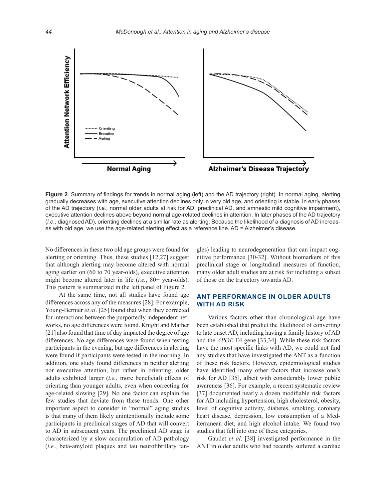

**Figure 2**. Summary of findings for trends in normal aging (left) and the AD trajectory (right). In normal aging, alerting gradually decreases with age, executive attention declines only in very old age, and orienting is stable. In early phases of the AD trajectory (*i.e.*, normal older adults at risk for AD, preclinical AD, and amnestic mild cognitive impairment), executive attention declines above beyond normal age-related declines in attention. In later phases of the AD trajectory (*i.e.*, diagnosed AD), orienting declines at a similar rate as alerting. Because the likelihood of a diagnosis of AD increases with old age, we use the age-related alerting effect as a reference line. AD = Alzheimer's disease.

No differences in these two old age groups were found for alerting or orienting. Thus, these studies [12,27] suggest that although alerting may become altered with normal aging earlier on (60 to 70 year-olds), executive attention might become altered later in life (*i.e.*, 80+ year-olds). This pattern is summarized in the left panel of Figure 2.

 At the same time, not all studies have found age differences across any of the measures [28]. For example, Young-Bernier *et al*. [25] found that when they corrected for interactions between the purportedly independent networks, no age differences were found. Knight and Mather [21] also found that time of day impacted the degree of age differences. No age differences were found when testing participants in the evening, but age differences in alerting were found if participants were tested in the morning. In addition, one study found differences in neither alerting nor executive attention, but rather in orienting; older adults exhibited larger (*i.e.*, more beneficial) effects of orienting than younger adults, even when correcting for age-related slowing [29]. No one factor can explain the few studies that deviate from these trends. One other important aspect to consider in "normal" aging studies is that many of them likely unintentionally include some participants in preclinical stages of AD that will convert to AD in subsequent years. The preclinical AD stage is characterized by a slow accumulation of AD pathology (*i.e.*, beta-amyloid plaques and tau neurofibrillary tan-

gles) leading to neurodegeneration that can impact cognitive performance [30-32]. Without biomarkers of this preclinical stage or longitudinal measures of function, many older adult studies are at risk for including a subset of those on the trajectory towards AD.

#### **ANT PERFORMANCE IN OLDER ADULTS WITH AD RISK**

Various factors other than chronological age have been established that predict the likelihood of converting to late onset AD, including having a family history of AD and the *APOE* E4 gene [33,34]. While these risk factors have the most specific links with AD, we could not find any studies that have investigated the ANT as a function of these risk factors. However, epidemiological studies have identified many other factors that increase one's risk for AD [35], albeit with considerably lower public awareness [36]. For example, a recent systematic review [37] documented nearly a dozen modifiable risk factors for AD including hypertension, high cholesterol, obesity, level of cognitive activity, diabetes, smoking, coronary heart disease, depression, low consumption of a Mediterranean diet, and high alcohol intake. We found two studies that fell into one of these categories.

Gaudet *et al*. [38] investigated performance in the ANT in older adults who had recently suffered a cardiac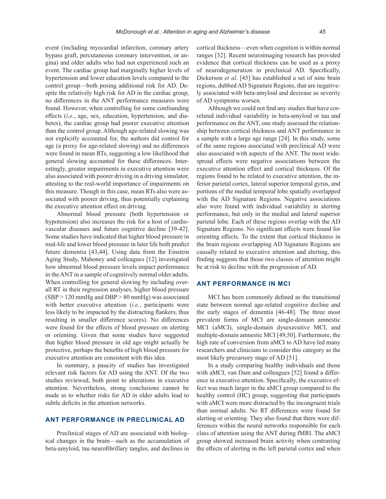event (including myocardial infarction, coronary artery bypass graft, percutaneous coronary intervention, or angina) and older adults who had not experienced such an event. The cardiac group had marginally higher levels of hypertension and lower education levels compared to the control group—both posing additional risk for AD. Despite the relatively high risk for AD in the cardiac group, no differences in the ANT performance measures were found. However, when controlling for some confounding effects (*i.e.*, age, sex, education, hypertension, and diabetes), the cardiac group had poorer executive attention than the control group. Although age-related slowing was not explicitly accounted for, the authors did control for age (a proxy for age-related slowing) and no differences were found in mean RTs, suggesting a low likelihood that general slowing accounted for these differences. Interestingly, greater impairments in executive attention were also associated with poorer driving in a driving simulator, attesting to the real-world importance of impairments on this measure. Though in this case, mean RTs also were associated with poorer driving, thus potentially explaining the executive attention effect on driving.

Abnormal blood pressure (both hypertension or hypotension) also increases the risk for a host of cardiovascular diseases and future cognitive decline [39-42]. Some studies have indicated that higher blood pressure in mid-life and lower blood pressure in later life both predict future dementia [43,44]. Using data from the Einstein Aging Study, Mahoney and colleagues [12] investigated how abnormal blood pressure levels impact performance in the ANT in a sample of cognitively normal older adults. When controlling for general slowing by including overall RT in their regression analyses, higher blood pressure (SBP > 120 mmHg and DBP > 80 mmHg) was associated with better executive attention (*i.e.*, participants were less likely to be impacted by the distracting flankers, thus resulting in smaller difference scores). No differences were found for the effects of blood pressure on alerting or orienting. Given that some studies have suggested that higher blood pressure in old age might actually be protective, perhaps the benefits of high blood pressure for executive attention are consistent with this idea.

In summary, a paucity of studies has investigated relevant risk factors for AD using the ANT. Of the two studies reviewed, both point to alterations in executive attention. Nevertheless, strong conclusions cannot be made as to whether risks for AD in older adults lead to subtle deficits in the attention networks.

#### **ANT PERFORMANCE IN PRECLINICAL AD**

Preclinical stages of AD are associated with biological changes in the brain—such as the accumulation of beta-amyloid, tau neurofibrillary tangles, and declines in cortical thickness—even when cognition is within normal ranges [32]. Recent neuroimaging research has provided evidence that cortical thickness can be used as a proxy of neurodegeneration in preclinical AD. Specifically, Dickerson *et al*. [45] has established a set of nine brain regions, dubbed AD Signature Regions, that are negatively associated with beta-amyloid and decrease as severity of AD symptoms worsen.

Although we could not find any studies that have correlated individual variability in beta-amyloid or tau and performance on the ANT, one study assessed the relationship between cortical thickness and ANT performance in a sample with a large age range [24]. In this study, some of the same regions associated with preclinical AD were also associated with aspects of the ANT. The most widespread effects were negative associations between the executive attention effect and cortical thickness. Of the regions found to be related to executive attention, the inferior parietal cortex, lateral superior temporal gyrus, and portions of the medial temporal lobe spatially overlapped with the AD Signature Regions. Negative associations also were found with individual variability in alerting performance, but only in the medial and lateral superior parietal lobe. Each of these regions overlap with the AD Signature Regions. No significant effects were found for orienting effects. To the extent that cortical thickness in the brain regions overlapping AD Signature Regions are causally related to executive attention and alerting, this finding suggests that those two classes of attention might be at risk to decline with the progression of AD.

#### **ANT PERFORMANCE IN MCI**

MCI has been commonly defined as the transitional state between normal age-related cognitive decline and the early stages of dementia [46-48]. The three most prevalent forms of MCI are single-domain amnestic MCI (aMCI), single-domain dysexecutive MCI, and multiple-domain amnestic MCI [49,50]. Furthermore, the high rate of conversion from aMCI to AD have led many researchers and clinicians to consider this category as the most likely precursory stage of AD [51].

In a study comparing healthy individuals and those with aMCI, van Dam and colleagues [52] found a difference in executive attention. Specifically, the executive effect was much larger in the aMCI group compared to the healthy control (HC) group, suggesting that participants with aMCI were more distracted by the incongruent trials than normal adults. No RT differences were found for alerting or orienting. They also found that there were differences within the neural networks responsible for each class of attention using the ANT during fMRI. The aMCI group showed increased brain activity when contrasting the effects of alerting in the left parietal cortex and when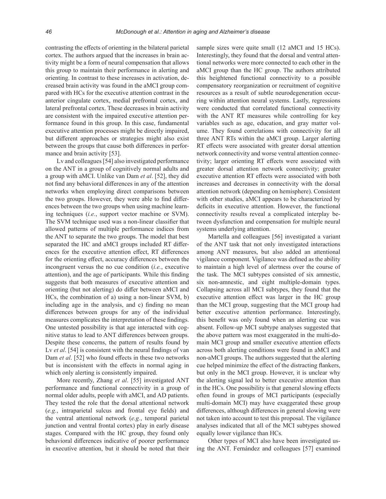contrasting the effects of orienting in the bilateral parietal cortex. The authors argued that the increases in brain activity might be a form of neural compensation that allows this group to maintain their performance in alerting and orienting. In contrast to these increases in activation, decreased brain activity was found in the aMCI group compared with HCs for the executive attention contrast in the anterior cingulate cortex, medial prefrontal cortex, and lateral prefrontal cortex. These decreases in brain activity are consistent with the impaired executive attention performance found in this group. In this case, fundamental executive attention processes might be directly impaired, but different approaches or strategies might also exist between the groups that cause both differences in performance and brain activity [53].

Lv and colleagues [54] also investigated performance on the ANT in a group of cognitively normal adults and a group with aMCI. Unlike van Dam *et al*. [52], they did not find any behavioral differences in any of the attention networks when employing direct comparisons between the two groups. However, they were able to find differences between the two groups when using machine learning techniques (*i.e.*, support vector machine or SVM). The SVM technique used was a non-linear classifier that allowed patterns of multiple performance indices from the ANT to separate the two groups. The model that best separated the HC and aMCI groups included RT differences for the executive attention effect, RT differences for the orienting effect, accuracy differences between the incongruent versus the no cue condition (*i.e.*, executive attention), and the age of participants. While this finding suggests that both measures of executive attention and orienting (but not alerting) do differ between aMCI and HCs, the combination of a) using a non-linear SVM, b) including age in the analysis, and c) finding no mean differences between groups for any of the individual measures complicates the interpretation of these findings. One untested possibility is that age interacted with cognitive status to lead to ANT differences between groups. Despite these concerns, the pattern of results found by Lv *et al*. [54] is consistent with the neural findings of van Dam *et al*. [52] who found effects in these two networks but is inconsistent with the effects in normal aging in which only alerting is consistently impaired.

More recently, Zhang *et al*. [55] investigated ANT performance and functional connectivity in a group of normal older adults, people with aMCI, and AD patients. They tested the role that the dorsal attentional network (*e.g.*, intraparietal sulcus and frontal eye fields) and the ventral attentional network (*e.g.*, temporal parietal junction and ventral frontal cortex) play in early disease stages. Compared with the HC group, they found only behavioral differences indicative of poorer performance in executive attention, but it should be noted that their sample sizes were quite small (12 aMCI and 15 HCs). Interestingly, they found that the dorsal and ventral attentional networks were more connected to each other in the aMCI group than the HC group. The authors attributed this heightened functional connectivity to a possible compensatory reorganization or recruitment of cognitive resources as a result of subtle neurodegeneration occurring within attention neural systems. Lastly, regressions were conducted that correlated functional connectivity with the ANT RT measures while controlling for key variables such as age, education, and gray matter volume. They found correlations with connectivity for all three ANT RTs within the aMCI group. Larger alerting RT effects were associated with greater dorsal attention network connectivity and worse ventral attention connectivity; larger orienting RT effects were associated with greater dorsal attention network connectivity; greater executive attention RT effects were associated with both increases and decreases in connectivity with the dorsal attention network (depending on hemisphere). Consistent with other studies, aMCI appears to be characterized by deficits in executive attention. However, the functional connectivity results reveal a complicated interplay between dysfunction and compensation for multiple neural systems underlying attention.

Martella and colleagues [56] investigated a variant of the ANT task that not only investigated interactions among ANT measures, but also added an attentional vigilance component. Vigilance was defined as the ability to maintain a high level of alertness over the course of the task. The MCI subtypes consisted of six amnestic, six non-amnestic, and eight multiple-domain types. Collapsing across all MCI subtypes, they found that the executive attention effect was larger in the HC group than the MCI group, suggesting that the MCI group had better executive attention performance. Interestingly, this benefit was only found when an alerting cue was absent. Follow-up MCI subtype analyses suggested that the above pattern was most exaggerated in the multi-domain MCI group and smaller executive attention effects across both alerting conditions were found in aMCI and non-aMCI groups. The authors suggested that the alerting cue helped minimize the effect of the distracting flankers, but only in the MCI group. However, it is unclear why the alerting signal led to better executive attention than in the HCs. One possibility is that general slowing effects often found in groups of MCI participants (especially multi-domain MCI) may have exaggerated these group differences, although differences in general slowing were not taken into account to test this proposal. The vigilance analyses indicated that all of the MCI subtypes showed equally lower vigilance than HCs.

Other types of MCI also have been investigated using the ANT. Fernández and colleagues [57] examined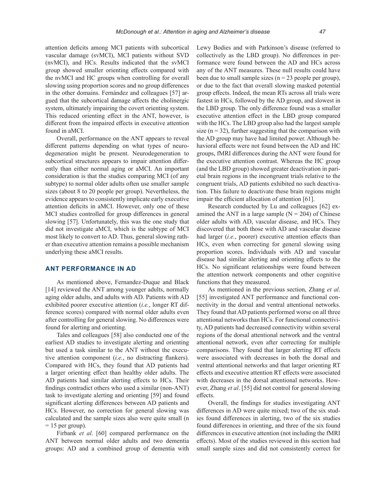attention deficits among MCI patients with subcortical vascular damage (svMCI), MCI patients without SVD (nvMCI), and HCs. Results indicated that the svMCI group showed smaller orienting effects compared with the nvMCI and HC groups when controlling for overall slowing using proportion scores and no group differences in the other domains. Fernández and colleagues [57] argued that the subcortical damage affects the cholinergic system, ultimately impairing the covert orienting system. This reduced orienting effect in the ANT, however, is different from the impaired effects in executive attention found in aMCI.

Overall, performance on the ANT appears to reveal different patterns depending on what types of neurodegeneration might be present. Neurodegeneration to subcortical structures appears to impair attention differently than either normal aging or aMCI. An important consideration is that the studies comparing MCI (of any subtype) to normal older adults often use smaller sample sizes (about 8 to 20 people per group). Nevertheless, the evidence appears to consistently implicate early executive attention deficits in aMCI. However, only one of these MCI studies controlled for group differences in general slowing [57]. Unfortunately, this was the one study that did not investigate aMCI, which is the subtype of MCI most likely to convert to AD. Thus, general slowing rather than executive attention remains a possible mechanism underlying these aMCI results.

#### **ANT PERFORMANCE IN AD**

As mentioned above, Fernandez-Duque and Black [14] reviewed the ANT among younger adults, normally aging older adults, and adults with AD. Patients with AD exhibited poorer executive attention (*i.e.*, longer RT difference scores) compared with normal older adults even after controlling for general slowing. No differences were found for alerting and orienting.

Tales and colleagues [58] also conducted one of the earliest AD studies to investigate alerting and orienting but used a task similar to the ANT without the executive attention component (*i.e.*, no distracting flankers). Compared with HCs, they found that AD patients had a larger orienting effect than healthy older adults. The AD patients had similar alerting effects to HCs. Their findings contradict others who used a similar (non-ANT) task to investigate alerting and orienting [59] and found significant alerting differences between AD patients and HCs. However, no correction for general slowing was calculated and the sample sizes also were quite small (n  $= 15$  per group).

Firbank *et al*. [60] compared performance on the ANT between normal older adults and two dementia groups: AD and a combined group of dementia with Lewy Bodies and with Parkinson's disease (referred to collectively as the LBD group). No differences in performance were found between the AD and HCs across any of the ANT measures. These null results could have been due to small sample sizes ( $n = 23$  people per group), or due to the fact that overall slowing masked potential group effects. Indeed, the mean RTs across all trials were fastest in HCs, followed by the AD group, and slowest in the LBD group. The only difference found was a smaller executive attention effect in the LBD group compared with the HCs. The LBD group also had the largest sample size  $(n = 32)$ , further suggesting that the comparison with the AD group may have had limited power. Although behavioral effects were not found between the AD and HC groups, fMRI differences during the ANT were found for the executive attention contrast. Whereas the HC group (and the LBD group) showed greater deactivation in parietal brain regions in the incongruent trials relative to the congruent trials, AD patients exhibited no such deactivation. This failure to deactivate these brain regions might impair the efficient allocation of attention [61].

Research conducted by Lu and colleagues [62] examined the ANT in a large sample  $(N = 204)$  of Chinese older adults with AD, vascular disease, and HCs. They discovered that both those with AD and vascular disease had larger (*i.e.*, poorer) executive attention effects than HCs, even when correcting for general slowing using proportion scores. Individuals with AD and vascular disease had similar alerting and orienting effects to the HCs. No significant relationships were found between the attention network components and other cognitive functions that they measured.

As mentioned in the previous section, Zhang *et al*. [55] investigated ANT performance and functional connectivity in the dorsal and ventral attentional networks. They found that AD patients performed worse on all three attentional networks than HCs. For functional connectivity, AD patients had decreased connectivity within several regions of the dorsal attentional network and the ventral attentional network, even after correcting for multiple comparisons. They found that larger alerting RT effects were associated with decreases in both the dorsal and ventral attentional networks and that larger orienting RT effects and executive attention RT effects were associated with decreases in the dorsal attentional networks. However, Zhang *et al*. [55] did not control for general slowing effects.

Overall, the findings for studies investigating ANT differences in AD were quite mixed; two of the six studies found differences in alerting, two of the six studies found differences in orienting, and three of the six found differences in executive attention (not including the fMRI effects). Most of the studies reviewed in this section had small sample sizes and did not consistently correct for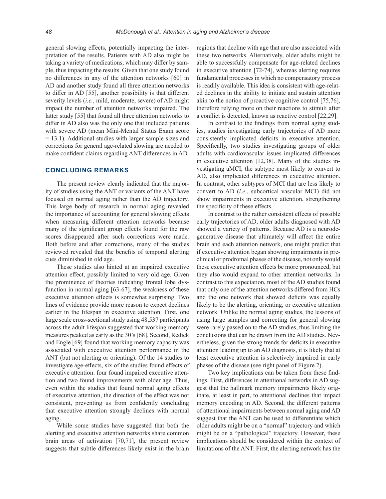general slowing effects, potentially impacting the interpretation of the results. Patients with AD also might be taking a variety of medications, which may differ by sample, thus impacting the results. Given that one study found no differences in any of the attention networks [60] in AD and another study found all three attention networks to differ in AD [55], another possibility is that different severity levels (*i.e.*, mild, moderate, severe) of AD might impact the number of attention networks impaired. The latter study [55] that found all three attention networks to differ in AD also was the only one that included patients with severe AD (mean Mini-Mental Status Exam score = 13.1). Additional studies with larger sample sizes and corrections for general age-related slowing are needed to make confident claims regarding ANT differences in AD.

#### **CONCLUDING REMARKS**

The present review clearly indicated that the majority of studies using the ANT or variants of the ANT have focused on normal aging rather than the AD trajectory. This large body of research in normal aging revealed the importance of accounting for general slowing effects when measuring different attention networks because many of the significant group effects found for the raw scores disappeared after such corrections were made. Both before and after corrections, many of the studies reviewed revealed that the benefits of temporal alerting cues diminished in old age.

These studies also hinted at an impaired executive attention effect, possibly limited to very old age. Given the prominence of theories indicating frontal lobe dysfunction in normal aging [63-67], the weakness of these executive attention effects is somewhat surprising. Two lines of evidence provide more reason to expect declines earlier in the lifespan in executive attention. First, one large scale cross-sectional study using 48,537 participants across the adult lifespan suggested that working memory measures peaked as early as the 30's [68]. Second, Redick and Engle [69] found that working memory capacity was associated with executive attention performance in the ANT (but not alerting or orienting). Of the 14 studies to investigate age-effects, six of the studies found effects of executive attention: four found impaired executive attention and two found improvements with older age. Thus, even within the studies that found normal aging effects of executive attention, the direction of the effect was not consistent, preventing us from confidently concluding that executive attention strongly declines with normal aging.

While some studies have suggested that both the alerting and executive attention networks share common brain areas of activation [70,71], the present review suggests that subtle differences likely exist in the brain

regions that decline with age that are also associated with these two networks. Alternatively, older adults might be able to successfully compensate for age-related declines in executive attention [72-74], whereas alerting requires fundamental processes in which no compensatory process is readily available. This idea is consistent with age-related declines in the ability to initiate and sustain attention akin to the notion of proactive cognitive control [75,76], therefore relying more on their reactions to stimuli after a conflict is detected, known as reactive control [22,29].

In contrast to the findings from normal aging studies, studies investigating early trajectories of AD more consistently implicated deficits in executive attention. Specifically, two studies investigating groups of older adults with cardiovascular issues implicated differences in executive attention [12,38]. Many of the studies investigating aMCI, the subtype most likely to convert to AD, also implicated differences in executive attention. In contrast, other subtypes of MCI that are less likely to convert to AD (*i.e.*, subcortical vascular MCI) did not show impairments in executive attention, strengthening the specificity of these effects.

In contrast to the rather consistent effects of possible early trajectories of AD, older adults diagnosed with AD showed a variety of patterns. Because AD is a neurodegenerative disease that ultimately will affect the entire brain and each attention network, one might predict that if executive attention began showing impairments in preclinical or prodromal phases of the disease, not only would these executive attention effects be more pronounced, but they also would expand to other attention networks. In contrast to this expectation, most of the AD studies found that only one of the attention networks differed from HCs and the one network that showed deficits was equally likely to be the alerting, orienting, or executive attention network. Unlike the normal aging studies, the lessons of using large samples and correcting for general slowing were rarely passed on to the AD studies, thus limiting the conclusions that can be drawn from the AD studies. Nevertheless, given the strong trends for deficits in executive attention leading up to an AD diagnosis, it is likely that at least executive attention is selectively impaired in early phases of the disease (see right panel of Figure 2).

Two key implications can be taken from these findings. First, differences in attentional networks in AD suggest that the hallmark memory impairments likely originate, at least in part, to attentional declines that impact memory encoding in AD. Second, the different patterns of attentional impairments between normal aging and AD suggest that the ANT can be used to differentiate which older adults might be on a "normal" trajectory and which might be on a "pathological" trajectory. However, these implications should be considered within the context of limitations of the ANT. First, the alerting network has the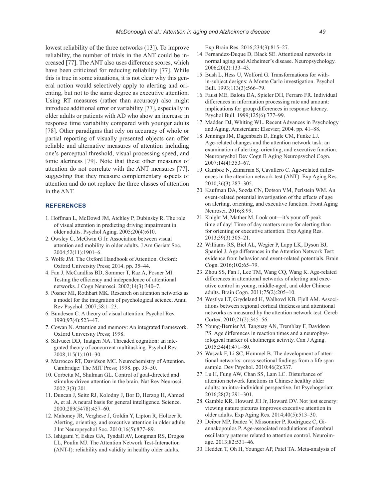lowest reliability of the three networks (13]). To improve reliability, the number of trials in the ANT could be increased [77]. The ANT also uses difference scores, which have been criticized for reducing reliability [77]. While this is true in some situations, it is not clear why this general notion would selectively apply to alerting and orienting, but not to the same degree as executive attention. Using RT measures (rather than accuracy) also might introduce additional error or variability [77], especially in older adults or patients with AD who show an increase in response time variability compared with younger adults [78]. Other paradigms that rely on accuracy of whole or partial reporting of visually presented objects can offer reliable and alternative measures of attention including one's perceptual threshold, visual processing speed, and tonic alertness [79]. Note that these other measures of attention do not correlate with the ANT measures [77], suggesting that they measure complementary aspects of attention and do not replace the three classes of attention in the ANT.

#### **REFERENCES**

- 1. Hoffman L, McDowd JM, Atchley P, Dubinsky R. The role of visual attention in predicting driving impairment in older adults. Psychol Aging. 2005;20(4):610.
- 2. Owsley C, McGwin G Jr. Association between visual attention and mobility in older adults. J Am Geriatr Soc. 2004;52(11):1901–6.
- 3. Wolfe JM. The Oxford Handbook of Attention. Oxford: Oxford University Press; 2014. pp. 35–44.
- 4. Fan J, McCandliss BD, Sommer T, Raz A, Posner MI. Testing the efficiency and independence of attentional networks. J Cogn Neurosci. 2002;14(3):340–7.
- 5. Posner MI, Rothbart MK. Research on attention networks as a model for the integration of psychological science. Annu Rev Psychol. 2007;58:1–23.
- 6. Bundesen C. A theory of visual attention. Psychol Rev. 1990;97(4):523–47.
- 7. Cowan N. Attention and memory: An integrated framework. Oxford University Press; 1998.
- 8. Salvucci DD, Taatgen NA. Threaded cognition: an integrated theory of concurrent multitasking. Psychol Rev. 2008;115(1):101–30.
- 9. Marrocco RT, Davidson MC. Neurochemistry of Attention. Cambridge: The MIT Press; 1998. pp. 35–50.
- 10. Corbetta M, Shulman GL. Control of goal-directed and stimulus-driven attention in the brain. Nat Rev Neurosci. 2002;3(3):201.
- 11. Duncan J, Seitz RJ, Kolodny J, Bor D, Herzog H, Ahmed A, et al. A neural basis for general intelligence. Science. 2000;289(5478):457–60.
- 12. Mahoney JR, Verghese J, Goldin Y, Lipton R, Holtzer R. Alerting, orienting, and executive attention in older adults. J Int Neuropsychol Soc. 2010;16(5):877–89.
- 13. Ishigami Y, Eskes GA, Tyndall AV, Longman RS, Drogos LL, Poulin MJ. The Attention Network Test-Interaction (ANT-I): reliability and validity in healthy older adults.

Exp Brain Res. 2016;234(3):815–27.

- 14. Fernandez-Duque D, Black SE. Attentional networks in normal aging and Alzheimer's disease. Neuropsychology. 2006;20(2):133–43.
- 15. Bush L, Hess U, Wolford G. Transformations for within-subject designs: A Monte Carlo investigation. Psychol Bull. 1993;113(3):566–79.
- 16. Faust ME, Balota DA, Spieler DH, Ferraro FR. Individual differences in information processing rate and amount: implications for group differences in response latency. Psychol Bull. 1999;125(6):777–99.
- 17. Madden DJ, Whiting WL. Recent Advances in Psychology and Aging. Amsterdam: Elsevier; 2004. pp. 41–88.
- 18. Jennings JM, Dagenbach D, Engle CM, Funke LJ. Age-related changes and the attention network task: an examination of alerting, orienting, and executive function. Neuropsychol Dev Cogn B Aging Neuropsychol Cogn. 2007;14(4):353–67.
- 19. Gamboz N, Zamarian S, Cavallero C. Age-related differences in the attention network test (ANT). Exp Aging Res. 2010;36(3):287–305.
- 20. Kaufman DA, Sozda CN, Dotson VM, Perlstein WM. An event-related potential investigation of the effects of age on alerting, orienting, and executive function. Front Aging Neurosci. 2016;8:99.
- 21. Knight M, Mather M. Look out—it's your off-peak time of day! Time of day matters more for alerting than for orienting or executive attention. Exp Aging Res. 2013;39(3):305–21.
- 22. Williams RS, Biel AL, Wegier P, Lapp LK, Dyson BJ, Spaniol J. Age differences in the Attention Network Test: evidence from behavior and event-related potentials. Brain Cogn. 2016;102:65–79.
- 23. Zhou SS, Fan J, Lee TM, Wang CQ, Wang K. Age-related differences in attentional networks of alerting and executive control in young, middle-aged, and older Chinese adults. Brain Cogn. 2011;75(2):205–10.
- 24. Westlye LT, Grydeland H, Walhovd KB, Fjell AM. Associations between regional cortical thickness and attentional networks as measured by the attention network test. Cereb Cortex. 2010;21(2):345–56.
- 25. Young-Bernier M, Tanguay AN, Tremblay F, Davidson PS. Age differences in reaction times and a neurophysiological marker of cholinergic activity. Can J Aging. 2015;34(4):471–80.
- 26. Waszak F, Li SC, Hommel B. The development of attentional networks: cross-sectional findings from a life span sample. Dev Psychol. 2010;46(2):337.
- 27. Lu H, Fung AW, Chan SS, Lam LC. Disturbance of attention network functions in Chinese healthy older adults: an intra-individual perspective. Int Psychogeriatr. 2016;28(2):291–301.
- 28. Gamble KR, Howard JH Jr, Howard DV. Not just scenery: viewing nature pictures improves executive attention in older adults. Exp Aging Res. 2014;40(5):513–30.
- 29. Deiber MP, Ibañez V, Missonnier P, Rodriguez C, Giannakopoulos P. Age-associated modulations of cerebral oscillatory patterns related to attention control. Neuroimage. 2013;82:531–46.
- 30. Hedden T, Oh H, Younger AP, Patel TA. Meta-analysis of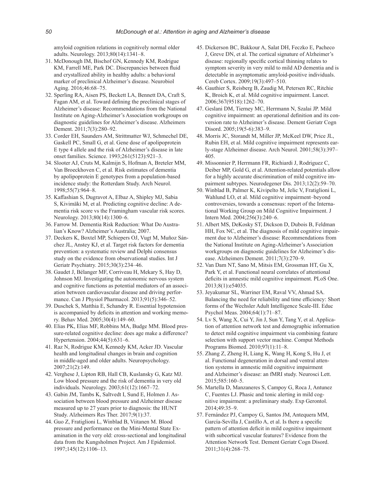amyloid cognition relations in cognitively normal older adults. Neurology. 2013;80(14):1341–8.

- 31. McDonough IM, Bischof GN, Kennedy KM, Rodrigue KM, Farrell ME, Park DC. Discrepancies between fluid and crystallized ability in healthy adults: a behavioral marker of preclinical Alzheimer's disease. Neurobiol Aging. 2016;46:68–75.
- 32. Sperling RA, Aisen PS, Beckett LA, Bennett DA, Craft S, Fagan AM, et al. Toward defining the preclinical stages of Alzheimer's disease: Recommendations from the National Institute on Aging-Alzheimer's Association workgroups on diagnostic guidelines for Alzheimer's disease. Alzheimers Dement. 2011;7(3):280–92.
- 33. Corder EH, Saunders AM, Strittmatter WJ, Schmechel DE, Gaskell PC, Small G, et al. Gene dose of apolipoprotein E type 4 allele and the risk of Alzheimer's disease in late onset families. Science. 1993;261(5123):921–3.
- 34. Slooter AJ, Cruts M, Kalmijn S, Hofman A, Breteler MM, Van Broeckhoven C, et al. Risk estimates of dementia by apolipoprotein E genotypes from a population-based incidence study: the Rotterdam Study. Arch Neurol. 1998;55(7):964–8.
- 35. Kaffashian S, Dugravot A, Elbaz A, Shipley MJ, Sabia S, Kivimäki M, et al. Predicting cognitive decline: A dementia risk score vs the Framingham vascular risk scores. Neurology. 2013;80(14):1300–6.
- 36. Farrow M. Dementia Risk Reduction: What Do Australian's Know? Alzheimer's Australia; 2007.
- 37. Deckers K, Boxtel MP, Schiepers OJ, Vugt M, Muñoz Sánchez JL, Anstey KJ, et al. Target risk factors for dementia prevention: a systematic review and Delphi consensus study on the evidence from observational studies. Int J Geriatr Psychiatry. 2015;30(3):234–46.
- 38. Gaudet J, Bélanger MF, Corriveau H, Mekary S, Hay D, Johnson MJ. Investigating the autonomic nervous system and cognitive functions as potential mediators of an association between cardiovascular disease and driving performance. Can J Physiol Pharmacol. 2013;91(5):346–52.
- 39. Duschek S, Matthia E, Schandry R. Essential hypotension is accompanied by deficits in attention and working memory. Behav Med. 2005;30(4):149–60.
- 40. Elias PK, Elias MF, Robbins MA, Budge MM. Blood pressure-related cognitive decline: does age make a difference? Hypertension. 2004;44(5):631–6.
- 41. Raz N, Rodrigue KM, Kennedy KM, Acker JD. Vascular health and longitudinal changes in brain and cognition in middle-aged and older adults. Neuropsychology. 2007;21(2):149.
- 42. Verghese J, Lipton RB, Hall CB, Kuslansky G, Katz MJ. Low blood pressure and the risk of dementia in very old individuals. Neurology. 2003;61(12):1667–72.
- 43. Gabin JM, Tambs K, Saltvedt I, Sund E, Holmen J. Association between blood pressure and Alzheimer disease measured up to 27 years prior to diagnosis: the HUNT Study. Alzheimers Res Ther. 2017;9(1):37.
- 44. Guo Z, Fratiglioni L, Winblad B, Viitanen M. Blood pressure and performance on the Mini-Mental State Examination in the very old: cross-sectional and longitudinal data from the Kungsholmen Project. Am J Epidemiol. 1997;145(12):1106–13.
- 45. Dickerson BC, Bakkour A, Salat DH, Feczko E, Pacheco J, Greve DN, et al. The cortical signature of Alzheimer's disease: regionally specific cortical thinning relates to symptom severity in very mild to mild AD dementia and is detectable in asymptomatic amyloid-positive individuals. Cereb Cortex. 2009;19(3):497–510.
- 46. Gauthier S, Reisberg B, Zaudig M, Petersen RC, Ritchie K, Broich K, et al. Mild cognitive impairment. Lancet. 2006;367(9518):1262–70.
- 47. Geslani DM, Tierney MC, Herrmann N, Szalai JP. Mild cognitive impairment: an operational definition and its conversion rate to Alzheimer's disease. Dement Geriatr Cogn Disord. 2005;19(5-6):383–9.
- 48. Morris JC, Storandt M, Miller JP, McKeel DW, Price JL, Rubin EH, et al. Mild cognitive impairment represents early-stage Alzheimer disease. Arch Neurol. 2001;58(3):397– 405.
- 49. Missonnier P, Herrmann FR, Richiardi J, Rodriguez C, Deiber MP, Gold G, et al. Attention-related potentials allow for a highly accurate discrimination of mild cognitive impairment subtypes. Neurodegener Dis. 2013;12(2):59–70.
- 50. Winblad B, Palmer K, Kivipelto M, Jelic V, Fratiglioni L, Wahlund LO, et al. Mild cognitive impairment–beyond controversies, towards a consensus: report of the International Working Group on Mild Cognitive Impairment. J Intern Med. 2004;256(3):240–6.
- 51. Albert MS, DeKosky ST, Dickson D, Dubois B, Feldman HH, Fox NC, et al. The diagnosis of mild cognitive impairment due to Alzheimer's disease: Recommendations from the National Institute on Aging-Alzheimer's Association workgroups on diagnostic guidelines for Alzheimer's disease. Alzheimers Dement. 2011;7(3):270–9.
- 52. Van Dam NT, Sano M, Mitsis EM, Grossman HT, Gu X, Park Y, et al. Functional neural correlates of attentional deficits in amnestic mild cognitive impairment. PLoS One. 2013;8(1):e54035.
- 53. Jeyakumar SL, Warriner EM, Raval VV, Ahmad SA. Balancing the need for reliability and time efficiency: Short forms of the Wechsler Adult Intelligence Scale-III. Educ Psychol Meas. 2004;64(1):71–87.
- 54. Lv S, Wang X, Cui Y, Jin J, Sun Y, Tang Y, et al. Application of attention network test and demographic information to detect mild cognitive impairment via combining feature selection with support vector machine. Comput Methods Programs Biomed. 2010;97(1):11–8.
- 55. Zhang Z, Zheng H, Liang K, Wang H, Kong S, Hu J, et al. Functional degeneration in dorsal and ventral attention systems in amnestic mild cognitive impairment and Alzheimer's disease: an fMRI study. Neurosci Lett. 2015;585:160–5.
- 56. Martella D, Manzaneres S, Campoy G, Roca J, Antunez C, Fuentes LJ. Phasic and tonic alerting in mild cognitive impairment: a preliminary study. Exp Gerontol. 2014;49:35–9.
- 57. Fernández PJ, Campoy G, Santos JM, Antequera MM, García-Sevilla J, Castillo A, et al. Is there a specific pattern of attention deficit in mild cognitive impairment with subcortical vascular features? Evidence from the Attention Network Test. Dement Geriatr Cogn Disord. 2011;31(4):268–75.